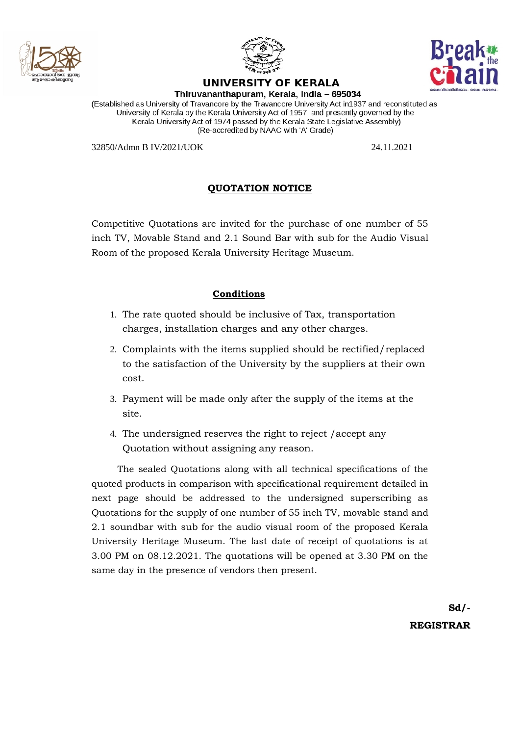



## **UNIVERSITY OF KERALA**



Thiruvananthapuram, Kerala, India - 695034

(Established as University of Travancore by the Travancore University Act in1937 and reconstituted as University of Kerala by the Kerala University Act of 1957 and presently governed by the Kerala University Act of 1974 passed by the Kerala State Legislative Assembly) (Re-accredited by NAAC with 'A' Grade)

32850/Admn B IV/2021/UOK 24.11.2021

# **QUOTATION NOTICE**

Competitive Quotations are invited for the purchase of one number of 55 inch TV, Movable Stand and 2.1 Sound Bar with sub for the Audio Visual Room of the proposed Kerala University Heritage Museum.

## **Conditions**

- 1. The rate quoted should be inclusive of Tax, transportation charges, installation charges and any other charges.
- 2. Complaints with the items supplied should be rectified/replaced to the satisfaction of the University by the suppliers at their own cost.
- 3. Payment will be made only after the supply of the items at the site.
- 4. The undersigned reserves the right to reject /accept any Quotation without assigning any reason.

The sealed Quotations along with all technical specifications of the quoted products in comparison with specificational requirement detailed in next page should be addressed to the undersigned superscribing as Quotations for the supply of one number of 55 inch TV, movable stand and 2.1 soundbar with sub for the audio visual room of the proposed Kerala University Heritage Museum. The last date of receipt of quotations is at 3.00 PM on 08.12.2021. The quotations will be opened at 3.30 PM on the same day in the presence of vendors then present.

> **Sd/- REGISTRAR**